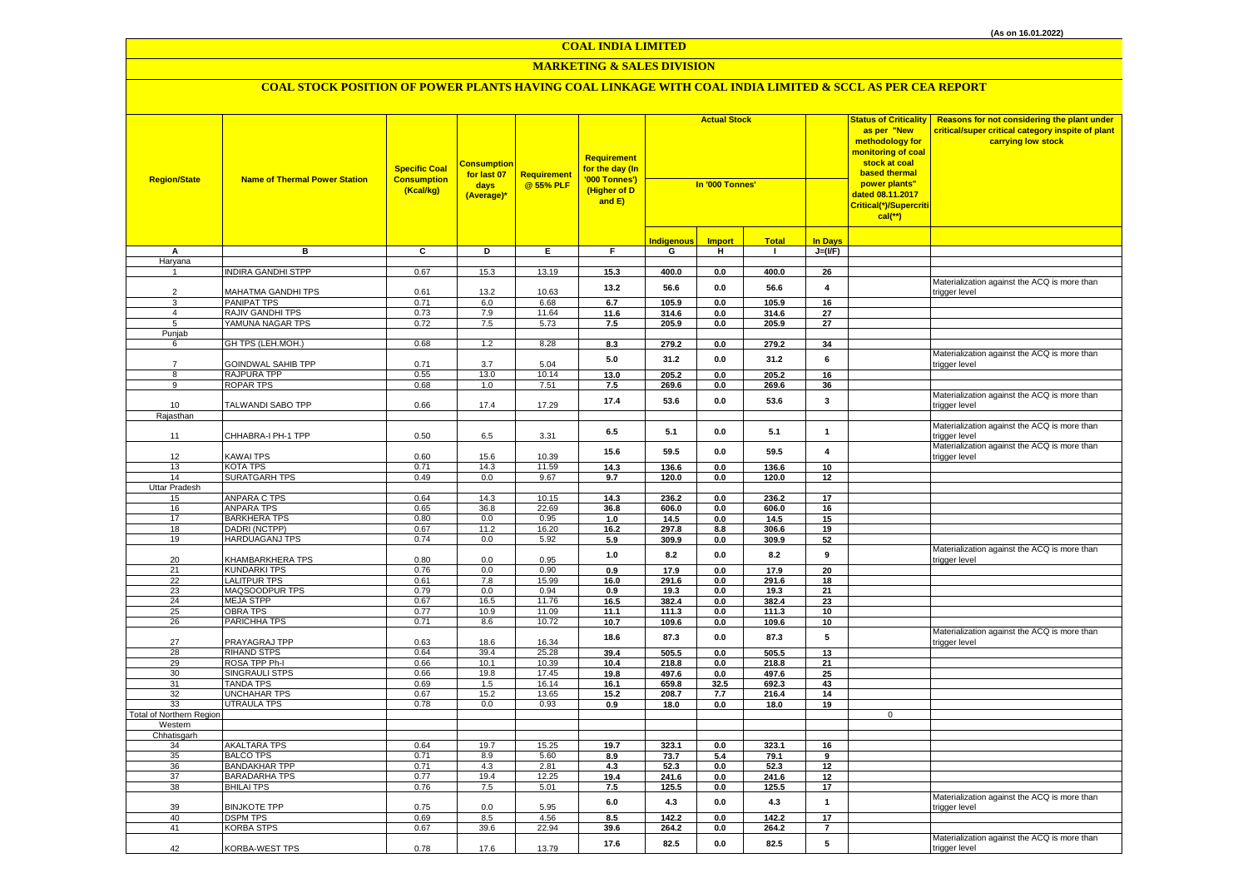### **MARKETING & SALES DIVISION**

| <b>Region/State</b>      | <b>Name of Thermal Power Station</b>         | <b>Specific Coal</b><br><b>Consumption</b><br>(Kcal/kg) | <u>Consumption</u><br>for last 07<br>days<br>(Average)* | <b>Requirement</b><br>@ 55% PLF | <b>Requirement</b><br>for the day (In<br>'000 Tonnes')<br>(Higher of D<br>and E) | <b>Actual Stock</b><br>In '000 Tonnes' |                |                |                  | <b>Status of Criticality</b><br>as per "New<br>methodology for<br>monitoring of coal<br>stock at coal<br>based thermal<br>power plants"<br>dated 08.11.2017<br>Critical(*)/Supercriti<br>$cal$ (**) | Reasons for not considering the plant under<br>critical/super critical category inspite of plant<br>carrying low stock |
|--------------------------|----------------------------------------------|---------------------------------------------------------|---------------------------------------------------------|---------------------------------|----------------------------------------------------------------------------------|----------------------------------------|----------------|----------------|------------------|-----------------------------------------------------------------------------------------------------------------------------------------------------------------------------------------------------|------------------------------------------------------------------------------------------------------------------------|
|                          |                                              |                                                         |                                                         |                                 |                                                                                  | <b>Indigenous</b>                      | <b>Import</b>  | <b>Total</b>   | <b>In Days</b>   |                                                                                                                                                                                                     |                                                                                                                        |
| А                        | в                                            | C                                                       | D                                                       | Е.                              | F.                                                                               | G                                      | н.             | $\mathbf{L}$   | $J=(I/F)$        |                                                                                                                                                                                                     |                                                                                                                        |
| Haryana                  |                                              |                                                         |                                                         |                                 |                                                                                  |                                        |                |                |                  |                                                                                                                                                                                                     |                                                                                                                        |
|                          | <b>INDIRA GANDHI STPP</b>                    | 0.67                                                    | 15.3                                                    | 13.19                           | 15.3                                                                             | 400.0                                  | 0.0            | 400.0          | 26               |                                                                                                                                                                                                     |                                                                                                                        |
| $\overline{2}$           | MAHATMA GANDHI TPS                           | 0.61                                                    | 13.2                                                    | 10.63                           | 13.2                                                                             | 56.6                                   | $0.0\,$        | 56.6           | 4                |                                                                                                                                                                                                     | Materialization against the ACQ is more than<br>trigger level                                                          |
| 3                        | <b>PANIPAT TPS</b>                           | 0.71                                                    | 6.0                                                     | 6.68                            | 6.7                                                                              | 105.9                                  | 0.0            | 105.9          | 16               |                                                                                                                                                                                                     |                                                                                                                        |
| $\overline{4}$           | <b>RAJIV GANDHI TPS</b>                      | 0.73                                                    | 7.9                                                     | 11.64                           | 11.6                                                                             | 314.6                                  | 0.0            | 314.6          | 27               |                                                                                                                                                                                                     |                                                                                                                        |
| 5                        | YAMUNA NAGAR TPS                             | 0.72                                                    | 7.5                                                     | 5.73                            | 7.5                                                                              | 205.9                                  | 0.0            | 205.9          | 27               |                                                                                                                                                                                                     |                                                                                                                        |
| Punjab<br>6              | GH TPS (LEH.MOH.)                            | 0.68                                                    | 1.2                                                     | 8.28                            | 8.3                                                                              | 279.2                                  | 0.0            | 279.2          | 34               |                                                                                                                                                                                                     |                                                                                                                        |
| $\overline{7}$           | GOINDWAL SAHIB TPP                           | 0.71                                                    | 3.7                                                     | 5.04                            | $5.0\,$                                                                          | 31.2                                   | $0.0\,$        | 31.2           | $\bf 6$          |                                                                                                                                                                                                     | Materialization against the ACQ is more than<br>trigger level                                                          |
| 8                        | RAJPURA TPP                                  | 0.55                                                    | 13.0                                                    | 10.14                           | 13.0                                                                             | 205.2                                  | 0.0            | 205.2          | 16               |                                                                                                                                                                                                     |                                                                                                                        |
| 9                        | ROPAR TPS                                    | 0.68                                                    | 1.0                                                     | 7.51                            | 7.5                                                                              | 269.6                                  | 0.0            | 269.6          | 36               |                                                                                                                                                                                                     |                                                                                                                        |
| 10                       | TALWANDI SABO TPP                            | 0.66                                                    | 17.4                                                    | 17.29                           | 17.4                                                                             | 53.6                                   | 0.0            | 53.6           | 3                |                                                                                                                                                                                                     | Materialization against the ACQ is more than<br>trigger level                                                          |
| Rajasthan                |                                              |                                                         |                                                         |                                 |                                                                                  |                                        |                |                |                  |                                                                                                                                                                                                     |                                                                                                                        |
| 11                       | CHHABRA-I PH-1 TPP                           | 0.50                                                    | 6.5                                                     | 3.31                            | 6.5                                                                              | 5.1                                    | 0.0            | 5.1            | $\mathbf{1}$     |                                                                                                                                                                                                     | Materialization against the ACQ is more than<br>trigger level                                                          |
|                          |                                              |                                                         |                                                         |                                 | 15.6                                                                             | 59.5                                   | 0.0            | 59.5           | $\overline{4}$   |                                                                                                                                                                                                     | Materialization against the ACQ is more than                                                                           |
| 12                       | KAWAI TPS                                    | 0.60                                                    | 15.6                                                    | 10.39                           |                                                                                  |                                        |                |                |                  |                                                                                                                                                                                                     | trigger level                                                                                                          |
| 13<br>14                 | KOTA TPS<br><b>SURATGARH TPS</b>             | 0.71<br>0.49                                            | 14.3<br>0.0                                             | 11.59<br>9.67                   | 14.3                                                                             | 136.6                                  | 0.0            | 136.6          | 10 <sup>1</sup>  |                                                                                                                                                                                                     |                                                                                                                        |
| Uttar Pradesh            |                                              |                                                         |                                                         |                                 | 9.7                                                                              | 120.0                                  | $0.0\,$        | 120.0          | 12               |                                                                                                                                                                                                     |                                                                                                                        |
| 15                       | <b>ANPARA C TPS</b>                          | 0.64                                                    | 14.3                                                    | 10.15                           | 14.3                                                                             | 236.2                                  | 0.0            | 236.2          | 17               |                                                                                                                                                                                                     |                                                                                                                        |
| 16                       | <b>ANPARA TPS</b>                            | 0.65                                                    | 36.8                                                    | 22.69                           | 36.8                                                                             | 606.0                                  | 0.0            | 606.0          | 16               |                                                                                                                                                                                                     |                                                                                                                        |
| 17                       | <b>BARKHERA TPS</b>                          | 0.80                                                    | 0.0                                                     | 0.95                            | 1.0                                                                              | 14.5                                   | 0.0            | 14.5           | 15               |                                                                                                                                                                                                     |                                                                                                                        |
| 18                       | DADRI (NCTPP)                                | 0.67                                                    | 11.2                                                    | 16.20                           | 16.2                                                                             | 297.8                                  | 8.8            | 306.6          | 19               |                                                                                                                                                                                                     |                                                                                                                        |
| 19                       | <b>HARDUAGANJ TPS</b>                        | 0.74                                                    | 0.0                                                     | 5.92                            | 5.9                                                                              | 309.9                                  | $0.0\,$        | 309.9          | 52               |                                                                                                                                                                                                     |                                                                                                                        |
| 20                       | <b>KHAMBARKHERA TPS</b>                      | 0.80                                                    | 0.0                                                     | 0.95                            | $1.0\,$                                                                          | 8.2                                    | $0.0\,$        | 8.2            | $\boldsymbol{9}$ |                                                                                                                                                                                                     | Materialization against the ACQ is more than<br>trigger level                                                          |
| 21                       | <b>KUNDARKI TPS</b>                          | 0.76                                                    | 0.0                                                     | 0.90                            | 0.9                                                                              | 17.9                                   | 0.0            | 17.9           | 20               |                                                                                                                                                                                                     |                                                                                                                        |
| 22<br>23                 | <b>LALITPUR TPS</b><br>MAQSOODPUR TPS        | 0.61<br>0.79                                            | 7.8<br>0.0                                              | 15.99<br>0.94                   | 16.0<br>0.9                                                                      | 291.6<br>19.3                          | 0.0<br>0.0     | 291.6<br>19.3  | 18<br>21         |                                                                                                                                                                                                     |                                                                                                                        |
| 24                       | <b>MEJA STPP</b>                             | 0.67                                                    | 16.5                                                    | 11.76                           | 16.5                                                                             | 382.4                                  | 0.0            | 382.4          | 23               |                                                                                                                                                                                                     |                                                                                                                        |
| 25                       | OBRA TPS                                     | 0.77                                                    | 10.9                                                    | 11.09                           | 11.1                                                                             | 111.3                                  | 0.0            | 111.3          | 10               |                                                                                                                                                                                                     |                                                                                                                        |
| 26                       | PARICHHA TPS                                 | 0.71                                                    | 8.6                                                     | 10.72                           | 10.7                                                                             | 109.6                                  | 0.0            | 109.6          | 10               |                                                                                                                                                                                                     |                                                                                                                        |
| 27                       | PRAYAGRAJ TPP                                | 0.63                                                    | 18.6                                                    | 16.34                           | 18.6                                                                             | 87.3                                   | $0.0\,$        | 87.3           | 5                |                                                                                                                                                                                                     | Materialization against the ACQ is more than<br>trigger level                                                          |
| 28                       | <b>RIHAND STPS</b>                           | 0.64                                                    | 39.4                                                    | 25.28                           | 39.4                                                                             | 505.5                                  | 0.0            | 505.5          | 13               |                                                                                                                                                                                                     |                                                                                                                        |
| 29                       | ROSA TPP Ph-I                                | 0.66                                                    | 10.1                                                    | 10.39                           | 10.4                                                                             | 218.8                                  | $0.0\,$        | 218.8          | 21               |                                                                                                                                                                                                     |                                                                                                                        |
| 30                       | <b>SINGRAULI STPS</b>                        | 0.66                                                    | 19.8                                                    | 17.45                           | 19.8                                                                             | 497.6                                  | 0.0            | 497.6          | 25               |                                                                                                                                                                                                     |                                                                                                                        |
| 31<br>32                 | <b>TANDA TPS</b><br><b>UNCHAHAR TPS</b>      | 0.69<br>0.67                                            | 1.5<br>15.2                                             | 16.14<br>13.65                  | 16.1<br>15.2                                                                     | 659.8<br>208.7                         | 32.5<br>7.7    | 692.3<br>216.4 | 43<br>14         |                                                                                                                                                                                                     |                                                                                                                        |
| 33                       | UTRAULA TPS                                  | 0.78                                                    | 0.0                                                     | 0.93                            | 0.9                                                                              | 18.0                                   | 0.0            | 18.0           | 19               |                                                                                                                                                                                                     |                                                                                                                        |
| Total of Northern Region |                                              |                                                         |                                                         |                                 |                                                                                  |                                        |                |                |                  | 0                                                                                                                                                                                                   |                                                                                                                        |
| Western                  |                                              |                                                         |                                                         |                                 |                                                                                  |                                        |                |                |                  |                                                                                                                                                                                                     |                                                                                                                        |
| Chhatisgarh              |                                              |                                                         |                                                         |                                 |                                                                                  |                                        |                |                |                  |                                                                                                                                                                                                     |                                                                                                                        |
| 34                       | <b>AKALTARA TPS</b>                          | 0.64                                                    | 19.7                                                    | 15.25                           | 19.7                                                                             | 323.1                                  | 0.0            | 323.1          | 16               |                                                                                                                                                                                                     |                                                                                                                        |
| 35                       | <b>BALCO TPS</b>                             | 0.71                                                    | 8.9                                                     | 5.60                            | 8.9                                                                              | 73.7                                   | 5.4            | 79.1           | 9                |                                                                                                                                                                                                     |                                                                                                                        |
| 36<br>37                 | <b>BANDAKHAR TPP</b><br><b>BARADARHA TPS</b> | 0.71<br>0.77                                            | 4.3<br>19.4                                             | 2.81<br>12.25                   | 4.3<br>19.4                                                                      | 52.3<br>241.6                          | 0.0            | 52.3<br>241.6  | 12<br>12         |                                                                                                                                                                                                     |                                                                                                                        |
| 38                       | <b>BHILAI TPS</b>                            | 0.76                                                    | 7.5                                                     | 5.01                            | 7.5                                                                              | 125.5                                  | 0.0<br>$0.0\,$ | 125.5          | 17               |                                                                                                                                                                                                     |                                                                                                                        |
|                          |                                              |                                                         |                                                         |                                 | $6.0\,$                                                                          | 4.3                                    | $0.0\,$        | 4.3            | $\mathbf{1}$     |                                                                                                                                                                                                     | Materialization against the ACQ is more than                                                                           |
| 39<br>40                 | <b>BINJKOTE TPP</b><br><b>DSPM TPS</b>       | 0.75<br>0.69                                            | 0.0<br>8.5                                              | 5.95<br>4.56                    | 8.5                                                                              | 142.2                                  | 0.0            | 142.2          | 17               |                                                                                                                                                                                                     | trigger level                                                                                                          |
| 41                       | <b>KORBA STPS</b>                            | 0.67                                                    | 39.6                                                    | 22.94                           | 39.6                                                                             | 264.2                                  | 0.0            | 264.2          | $\overline{7}$   |                                                                                                                                                                                                     |                                                                                                                        |
| 42                       | <b>KORBA-WEST TPS</b>                        | 0.78                                                    | 17.6                                                    | 13.79                           | 17.6                                                                             | 82.5                                   | 0.0            | 82.5           | 5                |                                                                                                                                                                                                     | Materialization against the ACQ is more than<br>trigger level                                                          |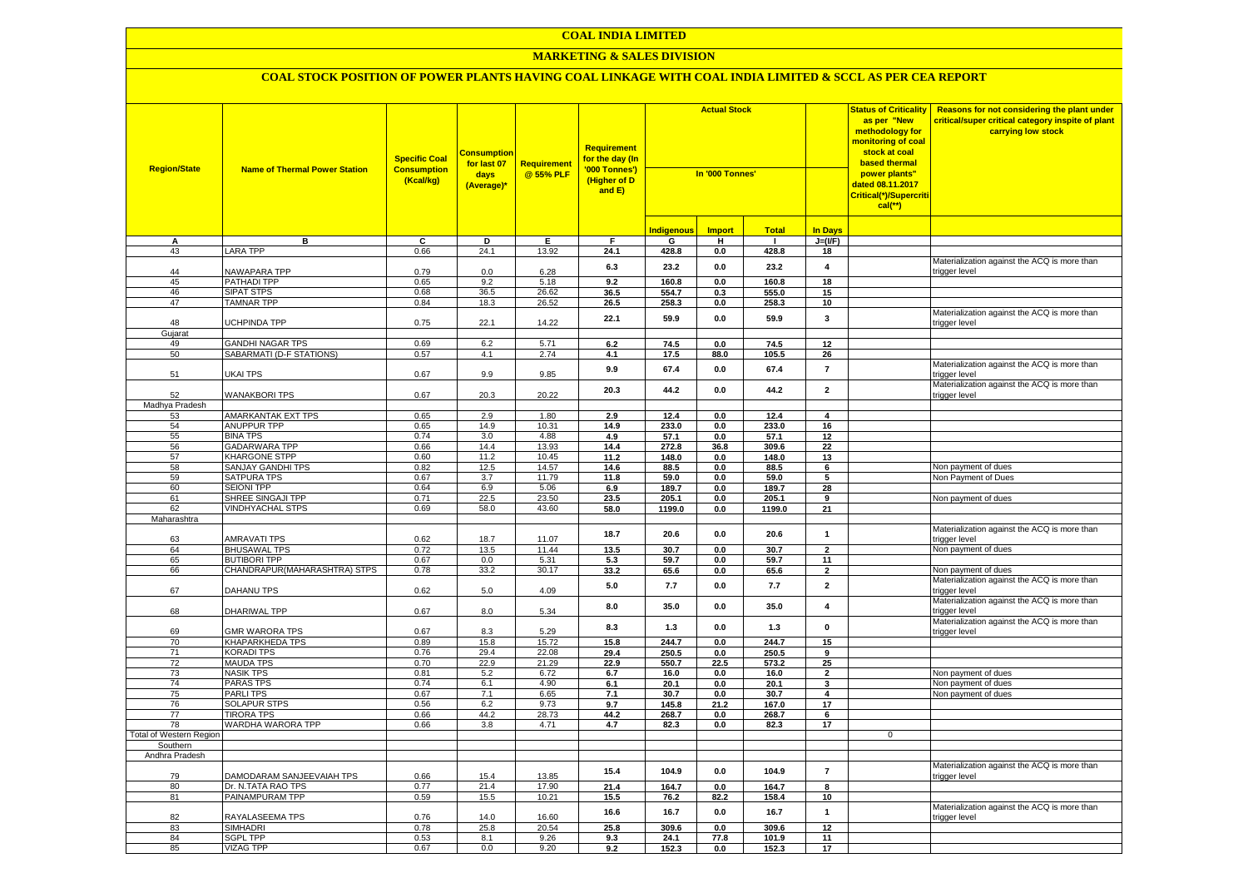### **COAL INDIA LIMITED**

### **MARKETING & SALES DIVISION**

| <b>Region/State</b>     | <b>Name of Thermal Power Station</b>       | <b>Specific Coal</b><br><b>Consumption</b><br>(Kcal/kg) | <b>Consumptior</b><br>for last 07<br>days<br>(Average)* | <b>Requirement</b><br>@ 55% PLF | <b>Requirement</b><br>for the day (In<br>'000 Tonnes')<br>(Higher of D<br>and E) | <b>Actual Stock</b><br>In '000 Tonnes' |               |                | <b>Status of Criticality</b><br>as per "New<br>methodology for<br>monitoring of coal<br>stock at coal<br>based thermal<br>power plants"<br>dated 08.11.2017<br>Critical(*)/Supercriti<br>$cal$ (**) |             | Reasons for not considering the plant under<br>critical/super critical category inspite of plant<br>carrying low stock |
|-------------------------|--------------------------------------------|---------------------------------------------------------|---------------------------------------------------------|---------------------------------|----------------------------------------------------------------------------------|----------------------------------------|---------------|----------------|-----------------------------------------------------------------------------------------------------------------------------------------------------------------------------------------------------|-------------|------------------------------------------------------------------------------------------------------------------------|
|                         |                                            |                                                         |                                                         |                                 |                                                                                  | <b>Indigenous</b>                      | <b>Import</b> | <b>Total</b>   | <b>In Days</b>                                                                                                                                                                                      |             |                                                                                                                        |
| А                       | в                                          | C                                                       | D                                                       | Е.                              | F                                                                                | G                                      | н             | л.             | $J=(I/F)$                                                                                                                                                                                           |             |                                                                                                                        |
| 43                      | <b>LARA TPP</b>                            | 0.66                                                    | 24.1                                                    | 13.92                           | 24.1                                                                             | 428.8                                  | 0.0           | 428.8          | 18                                                                                                                                                                                                  |             |                                                                                                                        |
|                         |                                            |                                                         |                                                         |                                 | 6.3                                                                              | 23.2                                   | 0.0           | 23.2           | $\overline{\mathbf{4}}$                                                                                                                                                                             |             | Materialization against the ACQ is more than                                                                           |
| 44                      | NAWAPARA TPP                               | 0.79                                                    | 0.0                                                     | 6.28                            |                                                                                  |                                        |               |                |                                                                                                                                                                                                     |             | trigger level                                                                                                          |
| 45<br>46                | PATHADI TPP<br><b>SIPAT STPS</b>           | 0.65<br>0.68                                            | 9.2<br>36.5                                             | 5.18<br>26.62                   | 9.2<br>36.5                                                                      | 160.8<br>554.7                         | 0.0<br>0.3    | 160.8<br>555.0 | 18<br>15                                                                                                                                                                                            |             |                                                                                                                        |
| 47                      | <b>TAMNAR TPP</b>                          | 0.84                                                    | 18.3                                                    | 26.52                           | 26.5                                                                             | 258.3                                  | 0.0           | 258.3          | 10                                                                                                                                                                                                  |             |                                                                                                                        |
|                         |                                            |                                                         |                                                         |                                 |                                                                                  |                                        |               |                |                                                                                                                                                                                                     |             | Materialization against the ACQ is more than                                                                           |
| 48                      | UCHPINDA TPP                               | 0.75                                                    | 22.1                                                    | 14.22                           | 22.1                                                                             | 59.9                                   | 0.0           | 59.9           | 3                                                                                                                                                                                                   |             | trigger level                                                                                                          |
| Gujarat                 |                                            |                                                         |                                                         |                                 |                                                                                  |                                        |               |                |                                                                                                                                                                                                     |             |                                                                                                                        |
| 49                      | <b>GANDHI NAGAR TPS</b>                    | 0.69                                                    | 6.2                                                     | 5.71                            | 6.2                                                                              | 74.5                                   | 0.0           | 74.5           | 12                                                                                                                                                                                                  |             |                                                                                                                        |
| 50                      | SABARMATI (D-F STATIONS)                   | 0.57                                                    | 4.1                                                     | 2.74                            | 4.1                                                                              | 17.5                                   | 88.0          | 105.5          | 26                                                                                                                                                                                                  |             |                                                                                                                        |
|                         |                                            |                                                         |                                                         |                                 | 9.9                                                                              | 67.4                                   | 0.0           | 67.4           | $\overline{7}$                                                                                                                                                                                      |             | Materialization against the ACQ is more than                                                                           |
| 51                      | UKAI TPS                                   | 0.67                                                    | 9.9                                                     | 9.85                            |                                                                                  |                                        |               |                |                                                                                                                                                                                                     |             | rigger level                                                                                                           |
| 52                      | <b>WANAKBORI TPS</b>                       | 0.67                                                    | 20.3                                                    | 20.22                           | 20.3                                                                             | 44.2                                   | 0.0           | 44.2           | $\overline{\mathbf{2}}$                                                                                                                                                                             |             | Materialization against the ACQ is more than<br>trigger level                                                          |
| Madhya Pradesh          |                                            |                                                         |                                                         |                                 |                                                                                  |                                        |               |                |                                                                                                                                                                                                     |             |                                                                                                                        |
| 53                      | AMARKANTAK EXT TPS                         | 0.65                                                    | 2.9                                                     | 1.80                            | 2.9                                                                              | 12.4                                   | 0.0           | 12.4           | $\overline{\mathbf{4}}$                                                                                                                                                                             |             |                                                                                                                        |
| 54                      | <b>ANUPPUR TPP</b>                         | 0.65                                                    | 14.9                                                    | 10.31                           | 14.9                                                                             | 233.0                                  | 0.0           | 233.0          | 16                                                                                                                                                                                                  |             |                                                                                                                        |
| 55                      | <b>BINA TPS</b>                            | 0.74                                                    | 3.0                                                     | 4.88                            | 4.9                                                                              | 57.1                                   | 0.0           | 57.1           | 12                                                                                                                                                                                                  |             |                                                                                                                        |
| 56                      | <b>GADARWARA TPP</b>                       | 0.66                                                    | 14.4                                                    | 13.93                           | 14.4                                                                             | 272.8                                  | 36.8          | 309.6          | 22                                                                                                                                                                                                  |             |                                                                                                                        |
| 57                      | <b>KHARGONE STPP</b>                       | 0.60                                                    | 11.2                                                    | 10.45                           | 11.2                                                                             | 148.0                                  | 0.0           | 148.0          | 13                                                                                                                                                                                                  |             |                                                                                                                        |
| 58                      | SANJAY GANDHI TPS                          | 0.82                                                    | 12.5                                                    | 14.57                           | 14.6                                                                             | 88.5                                   | 0.0           | 88.5           | 6                                                                                                                                                                                                   |             | Non payment of dues                                                                                                    |
| 59                      | <b>SATPURA TPS</b>                         | 0.67                                                    | 3.7                                                     | 11.79                           | 11.8                                                                             | 59.0                                   | 0.0           | 59.0           | 5                                                                                                                                                                                                   |             | Non Payment of Dues                                                                                                    |
| 60                      | <b>SEIONI TPP</b>                          | 0.64                                                    | 6.9                                                     | 5.06                            | 6.9                                                                              | 189.7                                  | 0.0           | 189.7          | 28                                                                                                                                                                                                  |             |                                                                                                                        |
| 61                      | SHREE SINGAJI TPP                          | 0.71                                                    | 22.5                                                    | 23.50                           | 23.5                                                                             | 205.1                                  | 0.0           | 205.1          | 9                                                                                                                                                                                                   |             | Non payment of dues                                                                                                    |
| 62                      | <b>VINDHYACHAL STPS</b>                    | 0.69                                                    | 58.0                                                    | 43.60                           | 58.0                                                                             | 1199.0                                 | 0.0           | 1199.0         | 21                                                                                                                                                                                                  |             |                                                                                                                        |
| Maharashtra             |                                            |                                                         |                                                         |                                 |                                                                                  |                                        |               |                |                                                                                                                                                                                                     |             |                                                                                                                        |
|                         |                                            |                                                         |                                                         |                                 | 18.7                                                                             | 20.6                                   | 0.0           | 20.6           | $\mathbf{1}$                                                                                                                                                                                        |             | Materialization against the ACQ is more than                                                                           |
| 63<br>64                | <b>AMRAVATI TPS</b><br><b>BHUSAWAL TPS</b> | 0.62<br>0.72                                            | 18.7<br>13.5                                            | 11.07<br>11.44                  |                                                                                  | 30.7                                   |               | 30.7           | $\overline{2}$                                                                                                                                                                                      |             | trigger level                                                                                                          |
|                         | <b>BUTIBORI TPP</b>                        |                                                         | 0.0                                                     | 5.31                            | 13.5                                                                             |                                        | 0.0           |                |                                                                                                                                                                                                     |             | Non payment of dues                                                                                                    |
| 65<br>66                | CHANDRAPUR(MAHARASHTRA) STPS               | 0.67<br>0.78                                            | 33.2                                                    | 30.17                           | 5.3                                                                              | 59.7                                   | 0.0           | 59.7           | 11<br>$\overline{2}$                                                                                                                                                                                |             |                                                                                                                        |
|                         |                                            |                                                         |                                                         |                                 | 33.2                                                                             | 65.6                                   | 0.0           | 65.6           |                                                                                                                                                                                                     |             | Non payment of dues<br>Materialization against the ACQ is more than                                                    |
| 67                      | DAHANU TPS                                 | 0.62                                                    | 5.0                                                     | 4.09                            | 5.0                                                                              | 7.7                                    | 0.0           | 7.7            | $\mathbf{2}$                                                                                                                                                                                        |             | rigger level                                                                                                           |
|                         |                                            |                                                         |                                                         |                                 |                                                                                  |                                        |               |                |                                                                                                                                                                                                     |             | Materialization against the ACQ is more than                                                                           |
| 68                      | DHARIWAL TPP                               | 0.67                                                    | 8.0                                                     | 5.34                            | 8.0                                                                              | 35.0                                   | 0.0           | 35.0           | $\overline{\mathbf{4}}$                                                                                                                                                                             |             | trigger level                                                                                                          |
|                         |                                            |                                                         |                                                         |                                 | 8.3                                                                              | 1.3                                    | 0.0           | 1.3            | 0                                                                                                                                                                                                   |             | Materialization against the ACQ is more than                                                                           |
| 69                      | <b>GMR WARORA TPS</b>                      | 0.67                                                    | 8.3                                                     | 5.29                            |                                                                                  |                                        |               |                |                                                                                                                                                                                                     |             | trigger level                                                                                                          |
| 70                      | KHAPARKHEDA TPS                            | 0.89                                                    | 15.8                                                    | 15.72                           | 15.8                                                                             | 244.7                                  | 0.0           | 244.7          | 15                                                                                                                                                                                                  |             |                                                                                                                        |
| 71                      | <b>KORADI TPS</b>                          | 0.76                                                    | 29.4                                                    | 22.08                           | 29.4                                                                             | 250.5                                  | 0.0           | 250.5          | 9                                                                                                                                                                                                   |             |                                                                                                                        |
| 72                      | <b>MAUDA TPS</b>                           | 0.70                                                    | 22.9                                                    | 21.29                           | 22.9                                                                             | 550.7                                  | 22.5          | 573.2          | 25                                                                                                                                                                                                  |             |                                                                                                                        |
| 73                      | <b>NASIK TPS</b>                           | 0.81                                                    | 5.2                                                     | 6.72                            | 6.7                                                                              | 16.0                                   | 0.0           | 16.0           | $\overline{2}$                                                                                                                                                                                      |             | Non payment of dues                                                                                                    |
| 74                      | <b>PARAS TPS</b>                           | 0.74                                                    | 6.1                                                     | 4.90                            | 6.1                                                                              | 20.1                                   | 0.0           | 20.1           | 3                                                                                                                                                                                                   |             | Non payment of dues                                                                                                    |
| 75                      | <b>PARLITPS</b>                            | 0.67                                                    | 7.1                                                     | 6.65                            | 7.1                                                                              | 30.7                                   | 0.0           | 30.7           | 4                                                                                                                                                                                                   |             | Non payment of dues                                                                                                    |
| 76<br>$\overline{77}$   | <b>SOLAPUR STPS</b><br><b>TIRORA TPS</b>   | 0.56<br>0.66                                            | 6.2<br>44.2                                             | 9.73<br>28.73                   | 9.7<br>44.2                                                                      | 145.8<br>268.7                         | 21.2          | 167.0<br>268.7 | 17<br>6                                                                                                                                                                                             |             |                                                                                                                        |
| 78                      | WARDHA WARORA TPP                          | 0.66                                                    | 3.8                                                     | 4.71                            | 4.7                                                                              | 82.3                                   | 0.0<br>0.0    | 82.3           | 17                                                                                                                                                                                                  |             |                                                                                                                        |
| Total of Western Region |                                            |                                                         |                                                         |                                 |                                                                                  |                                        |               |                |                                                                                                                                                                                                     | $\mathbf 0$ |                                                                                                                        |
| Southern                |                                            |                                                         |                                                         |                                 |                                                                                  |                                        |               |                |                                                                                                                                                                                                     |             |                                                                                                                        |
| Andhra Pradesh          |                                            |                                                         |                                                         |                                 |                                                                                  |                                        |               |                |                                                                                                                                                                                                     |             |                                                                                                                        |
|                         |                                            |                                                         |                                                         |                                 |                                                                                  |                                        |               |                |                                                                                                                                                                                                     |             | Materialization against the ACQ is more than                                                                           |
| 79                      | DAMODARAM SANJEEVAIAH TPS                  | 0.66                                                    | 15.4                                                    | 13.85                           | 15.4                                                                             | 104.9                                  | 0.0           | 104.9          | $\overline{7}$                                                                                                                                                                                      |             | rigger level                                                                                                           |
| 80                      | Dr. N.TATA RAO TPS                         | 0.77                                                    | 21.4                                                    | 17.90                           | 21.4                                                                             | 164.7                                  | 0.0           | 164.7          | 8                                                                                                                                                                                                   |             |                                                                                                                        |
| 81                      | PAINAMPURAM TPP                            | 0.59                                                    | 15.5                                                    | 10.21                           | 15.5                                                                             | 76.2                                   | 82.2          | 158.4          | 10                                                                                                                                                                                                  |             |                                                                                                                        |
|                         |                                            |                                                         |                                                         |                                 | 16.6                                                                             | 16.7                                   | 0.0           | 16.7           | $\overline{1}$                                                                                                                                                                                      |             | Materialization against the ACQ is more than                                                                           |
| 82                      | RAYALASEEMA TPS                            | 0.76                                                    | 14.0                                                    | 16.60                           |                                                                                  |                                        |               |                |                                                                                                                                                                                                     |             | trigger level                                                                                                          |
| 83                      | SIMHADRI                                   | 0.78                                                    | 25.8                                                    | 20.54                           | 25.8                                                                             | 309.6                                  | $0.0\,$       | 309.6          | 12                                                                                                                                                                                                  |             |                                                                                                                        |
| 84                      | <b>SGPL TPP</b>                            | 0.53                                                    | 8.1                                                     | 9.26                            | 9.3                                                                              | 24.1                                   | 77.8          | 101.9          | 11                                                                                                                                                                                                  |             |                                                                                                                        |
| 85                      | <b>VIZAG TPP</b>                           | 0.67                                                    | 0.0                                                     | 9.20                            | 9.2                                                                              | 152.3                                  | 0.0           | 152.3          | 17                                                                                                                                                                                                  |             |                                                                                                                        |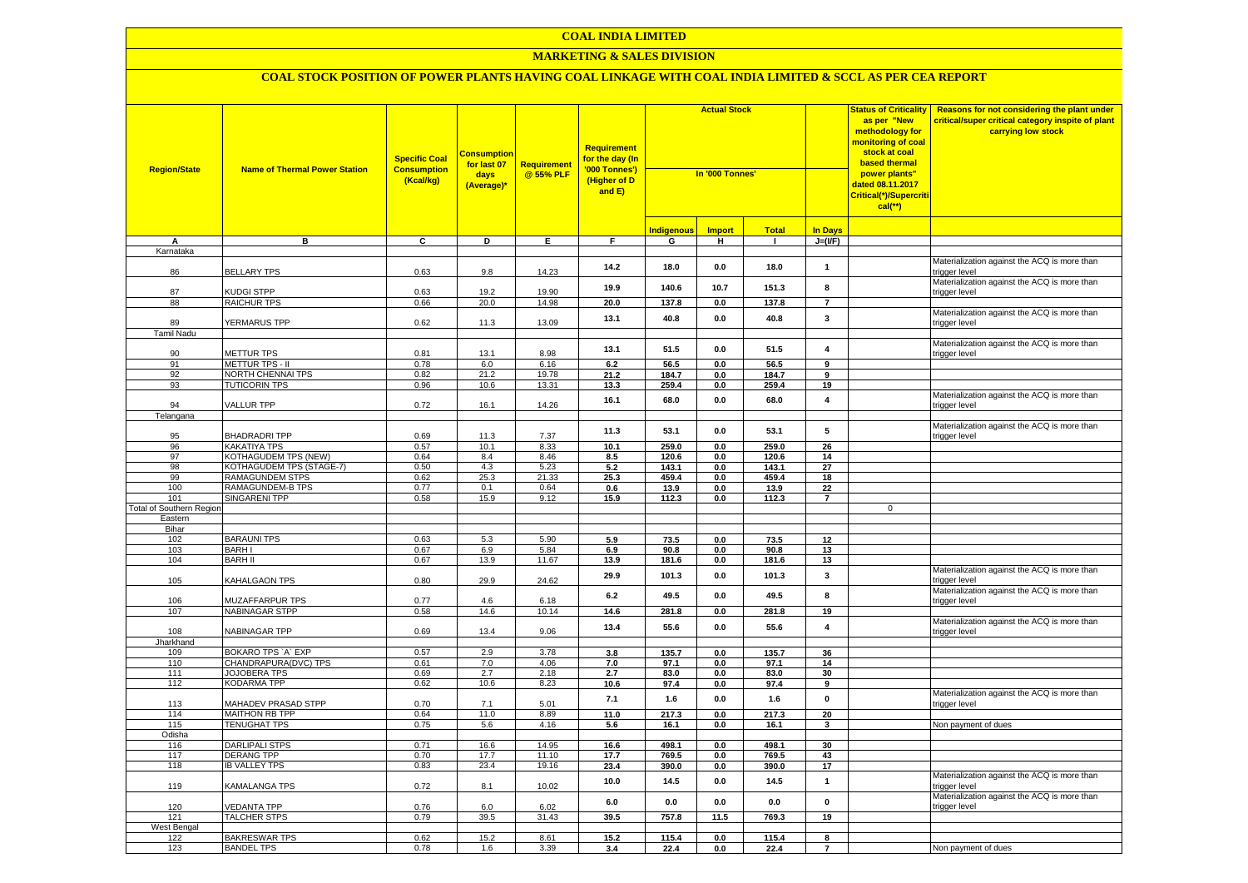### **COAL INDIA LIMITED**

### **MARKETING & SALES DIVISION**

| <b>Region/State</b>                        | <b>Name of Thermal Power Station</b>       | <b>Specific Coal</b><br><b>Consumption</b><br>(Kcal/kg) | <b>Consumption</b><br>for last 07<br>days<br>(Average)* | <b>Requirement</b><br>@ 55% PLF | <b>Requirement</b><br>for the day (In<br>'000 Tonnes')<br>(Higher of D<br>and E) | <b>Actual Stock</b><br>In '000 Tonnes' |                     |                              |                         |             |                                                               |  |  |  |  |  |  |  |  |  |  |  |  |  |  |  |  |  |  |  |  |  |  |  |  |  |  |  |  |  |  |  |  |  |  |  |  |  | <b>Status of Criticality</b><br>as per "New<br>methodology for<br><mark>monitoring of coal</mark><br>stock at coal<br>based thermal<br>power plants"<br>dated 08.11.2017<br>Critical(*)/Supercriti<br>$cal$ (**) | Reasons for not considering the plant under<br>critical/super critical category inspite of plant<br>carrying low stock |
|--------------------------------------------|--------------------------------------------|---------------------------------------------------------|---------------------------------------------------------|---------------------------------|----------------------------------------------------------------------------------|----------------------------------------|---------------------|------------------------------|-------------------------|-------------|---------------------------------------------------------------|--|--|--|--|--|--|--|--|--|--|--|--|--|--|--|--|--|--|--|--|--|--|--|--|--|--|--|--|--|--|--|--|--|--|--|--|--|------------------------------------------------------------------------------------------------------------------------------------------------------------------------------------------------------------------|------------------------------------------------------------------------------------------------------------------------|
|                                            |                                            |                                                         |                                                         |                                 |                                                                                  |                                        |                     |                              |                         |             |                                                               |  |  |  |  |  |  |  |  |  |  |  |  |  |  |  |  |  |  |  |  |  |  |  |  |  |  |  |  |  |  |  |  |  |  |  |  |  |                                                                                                                                                                                                                  |                                                                                                                        |
| А                                          | в                                          | C                                                       | D                                                       | Е.                              | F.                                                                               | <b>Indigenous</b><br>G                 | <b>Import</b><br>н. | <b>Total</b><br>$\mathbf{L}$ | In Days<br>$J=(I/F)$    |             |                                                               |  |  |  |  |  |  |  |  |  |  |  |  |  |  |  |  |  |  |  |  |  |  |  |  |  |  |  |  |  |  |  |  |  |  |  |  |  |                                                                                                                                                                                                                  |                                                                                                                        |
| Karnataka                                  |                                            |                                                         |                                                         |                                 |                                                                                  |                                        |                     |                              |                         |             |                                                               |  |  |  |  |  |  |  |  |  |  |  |  |  |  |  |  |  |  |  |  |  |  |  |  |  |  |  |  |  |  |  |  |  |  |  |  |  |                                                                                                                                                                                                                  |                                                                                                                        |
| 86                                         | <b>BELLARY TPS</b>                         | 0.63                                                    | 9.8                                                     | 14.23                           | 14.2                                                                             | 18.0                                   | 0.0                 | 18.0                         | $\mathbf{1}$            |             | Materialization against the ACQ is more than<br>trigger level |  |  |  |  |  |  |  |  |  |  |  |  |  |  |  |  |  |  |  |  |  |  |  |  |  |  |  |  |  |  |  |  |  |  |  |  |  |                                                                                                                                                                                                                  |                                                                                                                        |
| 87                                         |                                            |                                                         | 19.2                                                    |                                 | 19.9                                                                             | 140.6                                  | 10.7                | 151.3                        | 8                       |             | Materialization against the ACQ is more than                  |  |  |  |  |  |  |  |  |  |  |  |  |  |  |  |  |  |  |  |  |  |  |  |  |  |  |  |  |  |  |  |  |  |  |  |  |  |                                                                                                                                                                                                                  |                                                                                                                        |
| 88                                         | KUDGI STPP<br>RAICHUR TPS                  | 0.63<br>0.66                                            | 20.0                                                    | 19.90<br>14.98                  | 20.0                                                                             | 137.8                                  | 0.0                 | 137.8                        | $\overline{7}$          |             | trigger level                                                 |  |  |  |  |  |  |  |  |  |  |  |  |  |  |  |  |  |  |  |  |  |  |  |  |  |  |  |  |  |  |  |  |  |  |  |  |  |                                                                                                                                                                                                                  |                                                                                                                        |
| 89                                         | YERMARUS TPP                               | 0.62                                                    | 11.3                                                    | 13.09                           | 13.1                                                                             | 40.8                                   | 0.0                 | 40.8                         | 3                       |             | Materialization against the ACQ is more than<br>trigger level |  |  |  |  |  |  |  |  |  |  |  |  |  |  |  |  |  |  |  |  |  |  |  |  |  |  |  |  |  |  |  |  |  |  |  |  |  |                                                                                                                                                                                                                  |                                                                                                                        |
| <b>Tamil Nadu</b>                          |                                            |                                                         |                                                         |                                 |                                                                                  |                                        |                     |                              |                         |             |                                                               |  |  |  |  |  |  |  |  |  |  |  |  |  |  |  |  |  |  |  |  |  |  |  |  |  |  |  |  |  |  |  |  |  |  |  |  |  |                                                                                                                                                                                                                  |                                                                                                                        |
| 90                                         | METTUR TPS                                 | 0.81                                                    | 13.1                                                    | 8.98                            | 13.1                                                                             | 51.5                                   | 0.0                 | 51.5                         | $\overline{\mathbf{4}}$ |             | Materialization against the ACQ is more than<br>rigger level  |  |  |  |  |  |  |  |  |  |  |  |  |  |  |  |  |  |  |  |  |  |  |  |  |  |  |  |  |  |  |  |  |  |  |  |  |  |                                                                                                                                                                                                                  |                                                                                                                        |
| 91                                         | METTUR TPS - II                            | 0.78                                                    | 6.0                                                     | 6.16                            | 6.2                                                                              | 56.5                                   | 0.0                 | 56.5                         | $\overline{9}$          |             |                                                               |  |  |  |  |  |  |  |  |  |  |  |  |  |  |  |  |  |  |  |  |  |  |  |  |  |  |  |  |  |  |  |  |  |  |  |  |  |                                                                                                                                                                                                                  |                                                                                                                        |
| 92                                         | <b>VORTH CHENNAI TPS</b>                   | 0.82                                                    | 21.2                                                    | 19.78                           | 21.2                                                                             | 184.7                                  | 0.0                 | 184.7                        | $\overline{9}$          |             |                                                               |  |  |  |  |  |  |  |  |  |  |  |  |  |  |  |  |  |  |  |  |  |  |  |  |  |  |  |  |  |  |  |  |  |  |  |  |  |                                                                                                                                                                                                                  |                                                                                                                        |
| 93                                         | <b>TUTICORIN TPS</b>                       | 0.96                                                    | 10.6                                                    | 13.31                           | 13.3                                                                             | 259.4                                  | 0.0                 | 259.4                        | 19                      |             |                                                               |  |  |  |  |  |  |  |  |  |  |  |  |  |  |  |  |  |  |  |  |  |  |  |  |  |  |  |  |  |  |  |  |  |  |  |  |  |                                                                                                                                                                                                                  |                                                                                                                        |
| 94                                         | <b>VALLUR TPP</b>                          | 0.72                                                    | 16.1                                                    | 14.26                           | 16.1                                                                             | 68.0                                   | 0.0                 | 68.0                         | 4                       |             | Materialization against the ACQ is more than<br>trigger level |  |  |  |  |  |  |  |  |  |  |  |  |  |  |  |  |  |  |  |  |  |  |  |  |  |  |  |  |  |  |  |  |  |  |  |  |  |                                                                                                                                                                                                                  |                                                                                                                        |
| Telangana                                  |                                            |                                                         |                                                         |                                 |                                                                                  |                                        |                     |                              |                         |             |                                                               |  |  |  |  |  |  |  |  |  |  |  |  |  |  |  |  |  |  |  |  |  |  |  |  |  |  |  |  |  |  |  |  |  |  |  |  |  |                                                                                                                                                                                                                  |                                                                                                                        |
| 95                                         | BHADRADRI TPP                              | 0.69                                                    | 11.3                                                    | 7.37                            | 11.3                                                                             | 53.1                                   | 0.0                 | 53.1                         | 5                       |             | Materialization against the ACQ is more than<br>rigger level  |  |  |  |  |  |  |  |  |  |  |  |  |  |  |  |  |  |  |  |  |  |  |  |  |  |  |  |  |  |  |  |  |  |  |  |  |  |                                                                                                                                                                                                                  |                                                                                                                        |
| 96                                         | KAKATIYA TPS                               | 0.57                                                    | 10.1                                                    | 8.33                            | 10.1                                                                             | 259.0                                  | 0.0                 | 259.0                        | 26                      |             |                                                               |  |  |  |  |  |  |  |  |  |  |  |  |  |  |  |  |  |  |  |  |  |  |  |  |  |  |  |  |  |  |  |  |  |  |  |  |  |                                                                                                                                                                                                                  |                                                                                                                        |
| 97                                         | KOTHAGUDEM TPS (NEW)                       | 0.64                                                    | 8.4                                                     | 8.46                            | 8.5                                                                              | 120.6                                  | 0.0                 | 120.6                        | 14                      |             |                                                               |  |  |  |  |  |  |  |  |  |  |  |  |  |  |  |  |  |  |  |  |  |  |  |  |  |  |  |  |  |  |  |  |  |  |  |  |  |                                                                                                                                                                                                                  |                                                                                                                        |
| 98                                         | KOTHAGUDEM TPS (STAGE-7)                   | 0.50                                                    | 4.3                                                     | 5.23                            | 5.2                                                                              | 143.1                                  | 0.0                 | 143.1                        | 27                      |             |                                                               |  |  |  |  |  |  |  |  |  |  |  |  |  |  |  |  |  |  |  |  |  |  |  |  |  |  |  |  |  |  |  |  |  |  |  |  |  |                                                                                                                                                                                                                  |                                                                                                                        |
| 99                                         | <b>RAMAGUNDEM STPS</b>                     | 0.62                                                    | 25.3                                                    | 21.33                           | 25.3                                                                             | 459.4                                  | 0.0                 | 459.4                        | 18                      |             |                                                               |  |  |  |  |  |  |  |  |  |  |  |  |  |  |  |  |  |  |  |  |  |  |  |  |  |  |  |  |  |  |  |  |  |  |  |  |  |                                                                                                                                                                                                                  |                                                                                                                        |
| 100                                        | RAMAGUNDEM-B TPS                           | 0.77                                                    | 0.1                                                     | 0.64                            | 0.6                                                                              | 13.9                                   | 0.0                 | 13.9                         | 22                      |             |                                                               |  |  |  |  |  |  |  |  |  |  |  |  |  |  |  |  |  |  |  |  |  |  |  |  |  |  |  |  |  |  |  |  |  |  |  |  |  |                                                                                                                                                                                                                  |                                                                                                                        |
| 101                                        | SINGARENI TPP                              | 0.58                                                    | 15.9                                                    | 9.12                            | 15.9                                                                             | 112.3                                  | 0.0                 | 112.3                        | $\overline{7}$          |             |                                                               |  |  |  |  |  |  |  |  |  |  |  |  |  |  |  |  |  |  |  |  |  |  |  |  |  |  |  |  |  |  |  |  |  |  |  |  |  |                                                                                                                                                                                                                  |                                                                                                                        |
| <b>Total of Southern Region</b><br>Eastern |                                            |                                                         |                                                         |                                 |                                                                                  |                                        |                     |                              |                         | $\mathbf 0$ |                                                               |  |  |  |  |  |  |  |  |  |  |  |  |  |  |  |  |  |  |  |  |  |  |  |  |  |  |  |  |  |  |  |  |  |  |  |  |  |                                                                                                                                                                                                                  |                                                                                                                        |
| Bihar                                      |                                            |                                                         |                                                         |                                 |                                                                                  |                                        |                     |                              |                         |             |                                                               |  |  |  |  |  |  |  |  |  |  |  |  |  |  |  |  |  |  |  |  |  |  |  |  |  |  |  |  |  |  |  |  |  |  |  |  |  |                                                                                                                                                                                                                  |                                                                                                                        |
| 102                                        | <b>BARAUNI TPS</b>                         | 0.63                                                    | 5.3                                                     | 5.90                            | 5.9                                                                              | 73.5                                   | 0.0                 | 73.5                         | 12                      |             |                                                               |  |  |  |  |  |  |  |  |  |  |  |  |  |  |  |  |  |  |  |  |  |  |  |  |  |  |  |  |  |  |  |  |  |  |  |  |  |                                                                                                                                                                                                                  |                                                                                                                        |
| 103                                        | <b>BARHI</b>                               | 0.67                                                    | 6.9                                                     | 5.84                            | 6.9                                                                              | 90.8                                   | 0.0                 | 90.8                         | 13                      |             |                                                               |  |  |  |  |  |  |  |  |  |  |  |  |  |  |  |  |  |  |  |  |  |  |  |  |  |  |  |  |  |  |  |  |  |  |  |  |  |                                                                                                                                                                                                                  |                                                                                                                        |
| 104                                        | <b>BARH II</b>                             | 0.67                                                    | 13.9                                                    | 11.67                           | 13.9                                                                             | 181.6                                  | 0.0                 | 181.6                        | 13                      |             |                                                               |  |  |  |  |  |  |  |  |  |  |  |  |  |  |  |  |  |  |  |  |  |  |  |  |  |  |  |  |  |  |  |  |  |  |  |  |  |                                                                                                                                                                                                                  |                                                                                                                        |
| 105                                        | KAHALGAON TPS                              | 0.80                                                    | 29.9                                                    | 24.62                           | 29.9                                                                             | 101.3                                  | 0.0                 | 101.3                        | 3                       |             | Materialization against the ACQ is more than<br>trigger level |  |  |  |  |  |  |  |  |  |  |  |  |  |  |  |  |  |  |  |  |  |  |  |  |  |  |  |  |  |  |  |  |  |  |  |  |  |                                                                                                                                                                                                                  |                                                                                                                        |
| 106                                        | MUZAFFARPUR TPS                            | 0.77                                                    | 4.6                                                     | 6.18                            | 6.2                                                                              | 49.5                                   | 0.0                 | 49.5                         | 8                       |             | Materialization against the ACQ is more than<br>trigger level |  |  |  |  |  |  |  |  |  |  |  |  |  |  |  |  |  |  |  |  |  |  |  |  |  |  |  |  |  |  |  |  |  |  |  |  |  |                                                                                                                                                                                                                  |                                                                                                                        |
| 107                                        | <b>NABINAGAR STPP</b>                      | 0.58                                                    | 14.6                                                    | 10.14                           | 14.6                                                                             | 281.8                                  | 0.0                 | 281.8                        | 19                      |             |                                                               |  |  |  |  |  |  |  |  |  |  |  |  |  |  |  |  |  |  |  |  |  |  |  |  |  |  |  |  |  |  |  |  |  |  |  |  |  |                                                                                                                                                                                                                  |                                                                                                                        |
| 108                                        | NABINAGAR TPP                              | 0.69                                                    | 13.4                                                    | 9.06                            | 13.4                                                                             | 55.6                                   | 0.0                 | 55.6                         | $\overline{\mathbf{4}}$ |             | Materialization against the ACQ is more than<br>rigger level  |  |  |  |  |  |  |  |  |  |  |  |  |  |  |  |  |  |  |  |  |  |  |  |  |  |  |  |  |  |  |  |  |  |  |  |  |  |                                                                                                                                                                                                                  |                                                                                                                        |
| Jharkhand<br>109                           | BOKARO TPS 'A' EXP                         | 0.57                                                    | 2.9                                                     | 3.78                            | 3.8                                                                              | 135.7                                  | 0.0                 | 135.7                        | 36                      |             |                                                               |  |  |  |  |  |  |  |  |  |  |  |  |  |  |  |  |  |  |  |  |  |  |  |  |  |  |  |  |  |  |  |  |  |  |  |  |  |                                                                                                                                                                                                                  |                                                                                                                        |
| 110                                        | CHANDRAPURA(DVC) TPS                       | 0.61                                                    | $7.0$                                                   | 4.06                            | 7.0                                                                              | 97.1                                   | 0.0                 | 97.1                         | 14                      |             |                                                               |  |  |  |  |  |  |  |  |  |  |  |  |  |  |  |  |  |  |  |  |  |  |  |  |  |  |  |  |  |  |  |  |  |  |  |  |  |                                                                                                                                                                                                                  |                                                                                                                        |
| 111                                        | <b>JOJOBERA TPS</b>                        | 0.69                                                    | 2.7                                                     | 2.18                            | 2.7                                                                              | 83.0                                   | 0.0                 | 83.0                         | 30                      |             |                                                               |  |  |  |  |  |  |  |  |  |  |  |  |  |  |  |  |  |  |  |  |  |  |  |  |  |  |  |  |  |  |  |  |  |  |  |  |  |                                                                                                                                                                                                                  |                                                                                                                        |
| 112                                        | KODARMA TPP                                | 0.62                                                    | 10.6                                                    | 8.23                            | 10.6                                                                             | 97.4                                   | 0.0                 | 97.4                         | 9                       |             |                                                               |  |  |  |  |  |  |  |  |  |  |  |  |  |  |  |  |  |  |  |  |  |  |  |  |  |  |  |  |  |  |  |  |  |  |  |  |  |                                                                                                                                                                                                                  |                                                                                                                        |
| 113                                        | <b>MAHADEV PRASAD STPP</b>                 | 0.70                                                    | 7.1                                                     | 5.01                            | 7.1                                                                              | 1.6                                    | 0.0                 | 1.6                          | 0                       |             | Materialization against the ACQ is more than<br>trigger level |  |  |  |  |  |  |  |  |  |  |  |  |  |  |  |  |  |  |  |  |  |  |  |  |  |  |  |  |  |  |  |  |  |  |  |  |  |                                                                                                                                                                                                                  |                                                                                                                        |
| 114                                        | <b>MAITHON RB TPP</b>                      | 0.64                                                    | 11.0                                                    | 8.89                            | 11.0                                                                             | 217.3                                  | 0.0                 | 217.3                        | 20                      |             |                                                               |  |  |  |  |  |  |  |  |  |  |  |  |  |  |  |  |  |  |  |  |  |  |  |  |  |  |  |  |  |  |  |  |  |  |  |  |  |                                                                                                                                                                                                                  |                                                                                                                        |
| 115                                        | <b>TENUGHAT TPS</b>                        | 0.75                                                    | 5.6                                                     | 4.16                            | 5.6                                                                              | 16.1                                   | 0.0                 | 16.1                         | 3                       |             | Non payment of dues                                           |  |  |  |  |  |  |  |  |  |  |  |  |  |  |  |  |  |  |  |  |  |  |  |  |  |  |  |  |  |  |  |  |  |  |  |  |  |                                                                                                                                                                                                                  |                                                                                                                        |
| Odisha                                     |                                            |                                                         |                                                         |                                 |                                                                                  |                                        |                     |                              |                         |             |                                                               |  |  |  |  |  |  |  |  |  |  |  |  |  |  |  |  |  |  |  |  |  |  |  |  |  |  |  |  |  |  |  |  |  |  |  |  |  |                                                                                                                                                                                                                  |                                                                                                                        |
| 116<br>117                                 | <b>DARLIPALI STPS</b><br><b>DERANG TPP</b> | 0.71<br>0.70                                            | 16.6<br>17.7                                            | 14.95<br>11.10                  | 16.6                                                                             | 498.1                                  | 0.0                 | 498.1                        | 30<br>43                |             |                                                               |  |  |  |  |  |  |  |  |  |  |  |  |  |  |  |  |  |  |  |  |  |  |  |  |  |  |  |  |  |  |  |  |  |  |  |  |  |                                                                                                                                                                                                                  |                                                                                                                        |
| 118                                        | <b>IB VALLEY TPS</b>                       | 0.83                                                    | 23.4                                                    | 19.16                           | 17.7<br>23.4                                                                     | 769.5<br>390.0                         | 0.0<br>0.0          | 769.5<br>390.0               | 17                      |             |                                                               |  |  |  |  |  |  |  |  |  |  |  |  |  |  |  |  |  |  |  |  |  |  |  |  |  |  |  |  |  |  |  |  |  |  |  |  |  |                                                                                                                                                                                                                  |                                                                                                                        |
| 119                                        | KAMALANGA TPS                              | 0.72                                                    | 8.1                                                     | 10.02                           | 10.0                                                                             | 14.5                                   | 0.0                 | 14.5                         | $\mathbf{1}$            |             | Materialization against the ACQ is more than<br>rigger level  |  |  |  |  |  |  |  |  |  |  |  |  |  |  |  |  |  |  |  |  |  |  |  |  |  |  |  |  |  |  |  |  |  |  |  |  |  |                                                                                                                                                                                                                  |                                                                                                                        |
| 120                                        | <b>/EDANTA TPP</b>                         | 0.76                                                    | 6.0                                                     | 6.02                            | 6.0                                                                              | 0.0                                    | 0.0                 | $0.0\,$                      | $\mathbf 0$             |             | Materialization against the ACQ is more than<br>trigger level |  |  |  |  |  |  |  |  |  |  |  |  |  |  |  |  |  |  |  |  |  |  |  |  |  |  |  |  |  |  |  |  |  |  |  |  |  |                                                                                                                                                                                                                  |                                                                                                                        |
| 121                                        | TALCHER STPS                               | 0.79                                                    | 39.5                                                    | 31.43                           | 39.5                                                                             | 757.8                                  | 11.5                | 769.3                        | 19                      |             |                                                               |  |  |  |  |  |  |  |  |  |  |  |  |  |  |  |  |  |  |  |  |  |  |  |  |  |  |  |  |  |  |  |  |  |  |  |  |  |                                                                                                                                                                                                                  |                                                                                                                        |
| West Bengal                                |                                            |                                                         |                                                         |                                 |                                                                                  |                                        |                     |                              |                         |             |                                                               |  |  |  |  |  |  |  |  |  |  |  |  |  |  |  |  |  |  |  |  |  |  |  |  |  |  |  |  |  |  |  |  |  |  |  |  |  |                                                                                                                                                                                                                  |                                                                                                                        |
| 122                                        | <b>BAKRESWAR TPS</b>                       | 0.62                                                    | 15.2                                                    | 8.61                            | 15.2                                                                             | 115.4                                  | 0.0                 | 115.4                        | 8<br>$\overline{ }$     |             |                                                               |  |  |  |  |  |  |  |  |  |  |  |  |  |  |  |  |  |  |  |  |  |  |  |  |  |  |  |  |  |  |  |  |  |  |  |  |  |                                                                                                                                                                                                                  |                                                                                                                        |
| 123                                        | <b>BANDEL TPS</b>                          | 0.78                                                    | 1.6                                                     | 3.39                            | 3.4                                                                              | 22.4                                   | 0.0                 | 22.4                         |                         |             | Non payment of dues                                           |  |  |  |  |  |  |  |  |  |  |  |  |  |  |  |  |  |  |  |  |  |  |  |  |  |  |  |  |  |  |  |  |  |  |  |  |  |                                                                                                                                                                                                                  |                                                                                                                        |